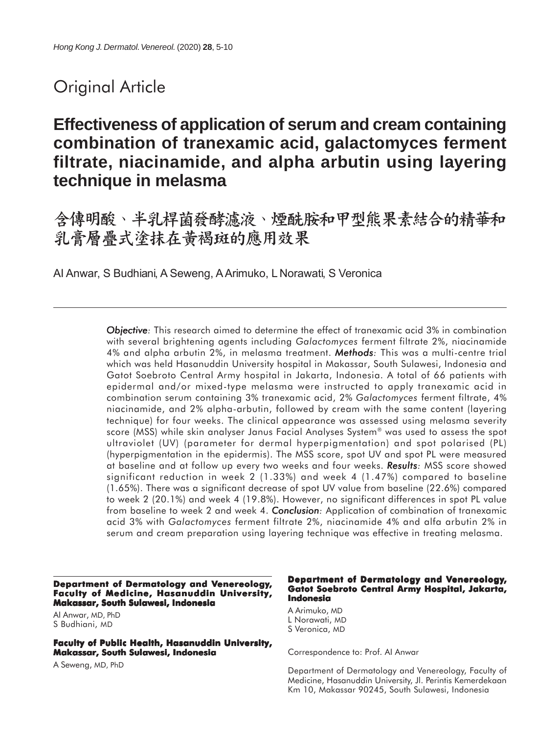# Original Article

## **Effectiveness of application of serum and cream containing combination of tranexamic acid, galactomyces ferment filtrate, niacinamide, and alpha arbutin using layering technique in melasma**

含傳明酸、半乳桿菌發酵濾液、煙酰胺和甲型熊果素結合的精華和 乳膏層疊式塗抹在黃褐斑的應用效果

AI Anwar, S Budhiani, A Seweng, A Arimuko, L Norawati, S Veronica

*Objective: Objective* This research aimed to determine the effect of tranexamic acid 3% in combination with several brightening agents including *Galactomyces* ferment filtrate 2%, niacinamide 4% and alpha arbutin 2%, in melasma treatment. *Methods: Methods* This was a multi-centre trial which was held Hasanuddin University hospital in Makassar, South Sulawesi, Indonesia and Gatot Soebroto Central Army hospital in Jakarta, Indonesia. A total of 66 patients with epidermal and/or mixed-type melasma were instructed to apply tranexamic acid in combination serum containing 3% tranexamic acid, 2% *Galactomyces* ferment filtrate, 4% niacinamide, and 2% alpha-arbutin, followed by cream with the same content (layering technique) for four weeks. The clinical appearance was assessed using melasma severity score (MSS) while skin analyser Janus Facial Analyses System® was used to assess the spot ultraviolet (UV) (parameter for dermal hyperpigmentation) and spot polarised (PL) (hyperpigmentation in the epidermis). The MSS score, spot UV and spot PL were measured at baseline and at follow up every two weeks and four weeks. **Results:** MSS score showed significant reduction in week 2 (1.33%) and week 4 (1.47%) compared to baseline (1.65%). There was a significant decrease of spot UV value from baseline (22.6%) compared to week 2 (20.1%) and week 4 (19.8%). However, no significant differences in spot PL value from baseline to week 2 and week 4. **Conclusion**: Application of combination of tranexamic acid 3% with *Galactomyces* ferment filtrate 2%, niacinamide 4% and alfa arbutin 2% in serum and cream preparation using layering technique was effective in treating melasma.

**Department of Dermatology and Venereology, Faculty of Medicine, Hasanuddin University, Makassar, South Sulawesi, Indonesia**

AI Anwar, MD, PhD S Budhiani, MD

**Faculty of Public Health, Hasanuddin University, Makassar, South Sulawesi, Indonesia**

A Seweng, MD, PhD

#### **Department of Dermatology and Venereology, Gatot Soebroto Central Army Hospital, Jakarta, Indonesia**

A Arimuko, MD L Norawati, MD S Veronica, MD

Correspondence to: Prof. AI Anwar

Department of Dermatology and Venereology, Faculty of Medicine, Hasanuddin University, Jl. Perintis Kemerdekaan Km 10, Makassar 90245, South Sulawesi, Indonesia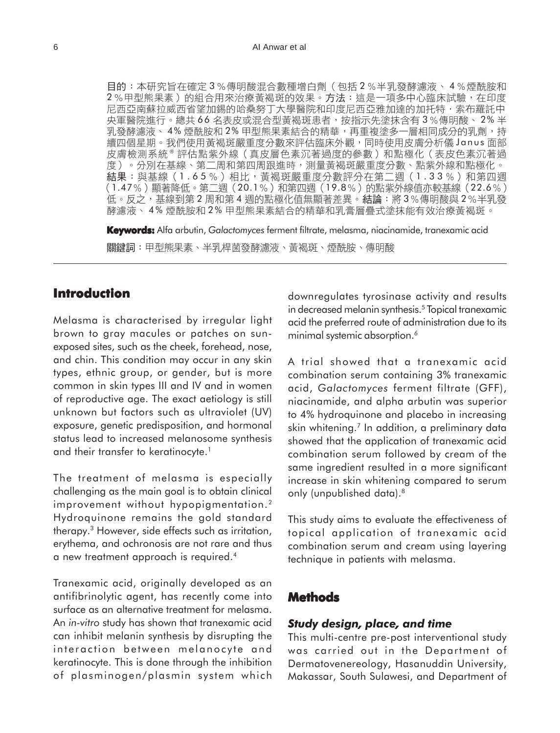目的:本研究旨在確定3%傳明酸混合數種增白劑(包括2%半乳發酵濾液、4%煙酰胺和 2%甲型熊果素)的組合用來治療黃褐斑的效果。方法:這是一項多中心臨床試驗,在印度 尼西亞南蘇拉威西省望加錫的哈桑努丁大學醫院和印度尼西亞雅加達的加托特·索布羅託中 央軍醫院進行。總共 66 名表皮或混合型黃褐斑患者,按指示先塗抹含有 3%傳明酸、 2% 半 乳發酵濾液、4% 煙酰胺和2% 甲型熊果素結合的精華,再重複塗多一層相同成分的乳劑,持 續四個星期。我們使用黃褐斑嚴重度分數來評估臨床外觀,同時使用皮膚分析儀 Janus 面部 皮膚檢測系統®評估點紫外線(真皮層色素沉著過度的參數)和點極化(表皮色素沉著過 度)。分別在基線、第二周和第四周跟進時,測量黃褐斑嚴重度分數、點紫外線和點極化。 結果:與基線(1.65%)相比,黃褐斑嚴重度分數評分在第二週(1.33%)和第四週 (1.47%)顯著降低。第二週 (20.1%)和第四週 (19.8%) 的點紫外線值亦較基線 (22.6%) 低。反之,基線到第2周和第4週的點極化值無顯著差異。結論:將3%傳明酸與2%半乳發 酵濾液、 4% 煙酰胺和 2% 甲型熊果素結合的精華和乳膏層疊式塗抹能有效治療黃褐斑。

**Keywords:** Alfa arbutin, *Galactomyces* ferment filtrate, melasma, niacinamide, tranexamic acid關鍵詞:甲型熊果素、半乳桿菌發酵濾液、黃褐斑、煙酰胺、傳明酸

### **Introduction**

Melasma is characterised by irregular light brown to gray macules or patches on sunexposed sites, such as the cheek, forehead, nose, and chin. This condition may occur in any skin types, ethnic group, or gender, but is more common in skin types III and IV and in women of reproductive age. The exact aetiology is still unknown but factors such as ultraviolet (UV) exposure, genetic predisposition, and hormonal status lead to increased melanosome synthesis and their transfer to keratinocyte.<sup>1</sup>

The treatment of melasma is especially challenging as the main goal is to obtain clinical improvement without hypopigmentation.<sup>2</sup> Hydroquinone remains the gold standard therapy.3 However, side effects such as irritation, erythema, and ochronosis are not rare and thus a new treatment approach is required.4

Tranexamic acid, originally developed as an antifibrinolytic agent, has recently come into surface as an alternative treatment for melasma. An *in-vitro* study has shown that tranexamic acid can inhibit melanin synthesis by disrupting the interaction between melanocyte and keratinocyte. This is done through the inhibition of plasminogen/plasmin system which downregulates tyrosinase activity and results in decreased melanin synthesis.<sup>5</sup> Topical tranexamic acid the preferred route of administration due to its minimal systemic absorption.<sup>6</sup>

A trial showed that a tranexamic acid combination serum containing 3% tranexamic acid, *Galactomyces* ferment filtrate (GFF), niacinamide, and alpha arbutin was superior to 4% hydroquinone and placebo in increasing skin whitening.<sup>7</sup> In addition, a preliminary data showed that the application of tranexamic acid combination serum followed by cream of the same ingredient resulted in a more significant increase in skin whitening compared to serum only (unpublished data).8

This study aims to evaluate the effectiveness of topical application of tranexamic acid combination serum and cream using layering technique in patients with melasma.

### **Methods**

#### *Study design, place, and time*

This multi-centre pre-post interventional study was carried out in the Department of Dermatovenereology, Hasanuddin University, Makassar, South Sulawesi, and Department of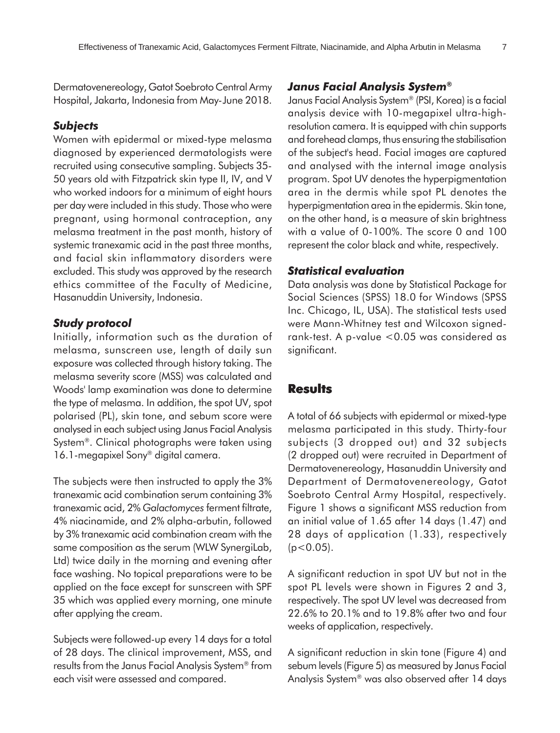Dermatovenereology, Gatot Soebroto Central Army Hospital, Jakarta, Indonesia from May-June 2018.

#### *Subjects*

Women with epidermal or mixed-type melasma diagnosed by experienced dermatologists were recruited using consecutive sampling. Subjects 35- 50 years old with Fitzpatrick skin type II, IV, and V who worked indoors for a minimum of eight hours per day were included in this study. Those who were pregnant, using hormonal contraception, any melasma treatment in the past month, history of systemic tranexamic acid in the past three months, and facial skin inflammatory disorders were excluded. This study was approved by the research ethics committee of the Faculty of Medicine, Hasanuddin University, Indonesia.

#### *Study protocol*

Initially, information such as the duration of melasma, sunscreen use, length of daily sun exposure was collected through history taking. The melasma severity score (MSS) was calculated and Woods' lamp examination was done to determine the type of melasma. In addition, the spot UV, spot polarised (PL), skin tone, and sebum score were analysed in each subject using Janus Facial Analysis System®. Clinical photographs were taken using 16.1-megapixel Sony® digital camera.

The subjects were then instructed to apply the 3% tranexamic acid combination serum containing 3% tranexamic acid, 2% *Galactomyces* ferment filtrate, 4% niacinamide, and 2% alpha-arbutin, followed by 3% tranexamic acid combination cream with the same composition as the serum (WLW SynergiLab, Ltd) twice daily in the morning and evening after face washing. No topical preparations were to be applied on the face except for sunscreen with SPF 35 which was applied every morning, one minute after applying the cream.

Subjects were followed-up every 14 days for a total of 28 days. The clinical improvement, MSS, and results from the Janus Facial Analysis System® from each visit were assessed and compared.

#### *Janus Facial Analysis System®*

Janus Facial Analysis System® (PSI, Korea) is a facial analysis device with 10-megapixel ultra-highresolution camera. It is equipped with chin supports and forehead clamps, thus ensuring the stabilisation of the subject's head. Facial images are captured and analysed with the internal image analysis program. Spot UV denotes the hyperpigmentation area in the dermis while spot PL denotes the hyperpigmentation area in the epidermis. Skin tone, on the other hand, is a measure of skin brightness with a value of 0-100%. The score 0 and 100 represent the color black and white, respectively.

#### *Statistical evaluation*

Data analysis was done by Statistical Package for Social Sciences (SPSS) 18.0 for Windows (SPSS Inc. Chicago, IL, USA). The statistical tests used were Mann-Whitney test and Wilcoxon signedrank-test. A p-value <0.05 was considered as significant.

#### **Results**

A total of 66 subjects with epidermal or mixed-type melasma participated in this study. Thirty-four subjects (3 dropped out) and 32 subjects (2 dropped out) were recruited in Department of Dermatovenereology, Hasanuddin University and Department of Dermatovenereology, Gatot Soebroto Central Army Hospital, respectively. Figure 1 shows a significant MSS reduction from an initial value of 1.65 after 14 days (1.47) and 28 days of application (1.33), respectively  $(p<0.05)$ .

A significant reduction in spot UV but not in the spot PL levels were shown in Figures 2 and 3, respectively. The spot UV level was decreased from 22.6% to 20.1% and to 19.8% after two and four weeks of application, respectively.

A significant reduction in skin tone (Figure 4) and sebum levels (Figure 5) as measured by Janus Facial Analysis System® was also observed after 14 days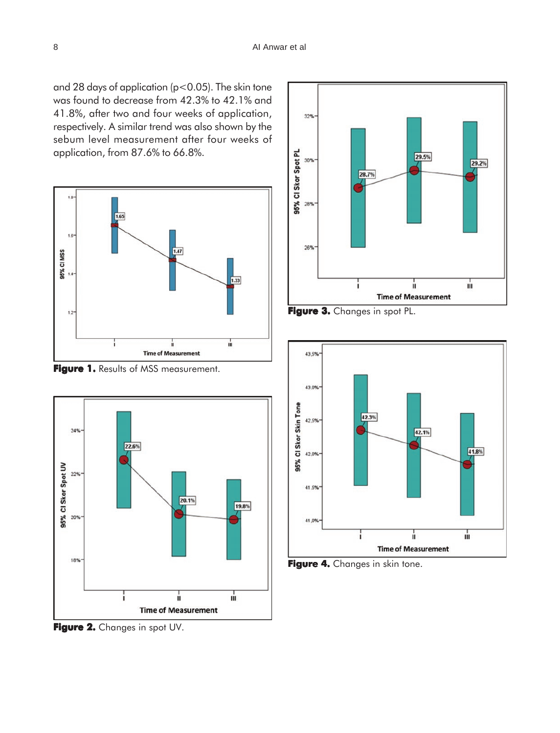and 28 days of application ( $p < 0.05$ ). The skin tone was found to decrease from 42.3% to 42.1% and 41.8%, after two and four weeks of application, respectively. A similar trend was also shown by the sebum level measurement after four weeks of application, from 87.6% to 66.8%.







**Figure 2.** Changes in spot UV.







**Figure 4. Figure 4.** Changes in skin tone.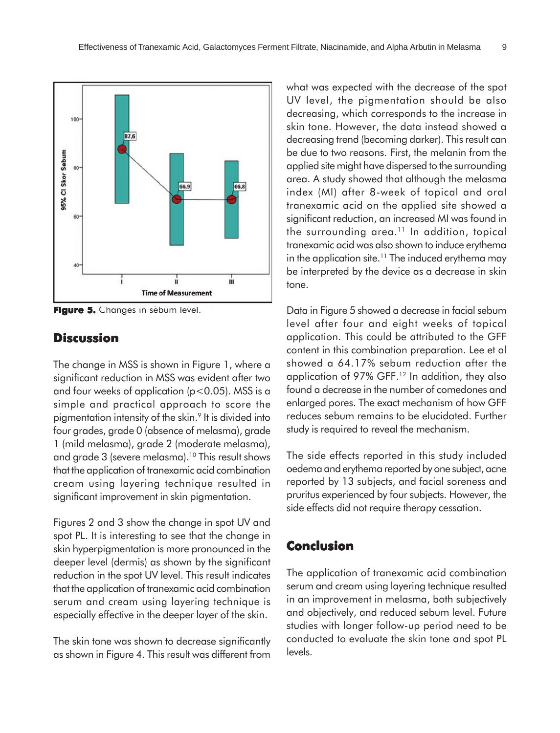

**Figure 5. Figure 5.** Changes in sebum level.

## **Discussion**

The change in MSS is shown in Figure 1, where a significant reduction in MSS was evident after two and four weeks of application ( $p < 0.05$ ). MSS is a simple and practical approach to score the pigmentation intensity of the skin.9 It is divided into four grades, grade 0 (absence of melasma), grade 1 (mild melasma), grade 2 (moderate melasma), and grade 3 (severe melasma).10 This result shows that the application of tranexamic acid combination cream using layering technique resulted in significant improvement in skin pigmentation.

Figures 2 and 3 show the change in spot UV and spot PL. It is interesting to see that the change in skin hyperpigmentation is more pronounced in the deeper level (dermis) as shown by the significant reduction in the spot UV level. This result indicates that the application of tranexamic acid combination serum and cream using layering technique is especially effective in the deeper layer of the skin.

The skin tone was shown to decrease significantly as shown in Figure 4. This result was different from

what was expected with the decrease of the spot UV level, the pigmentation should be also decreasing, which corresponds to the increase in skin tone. However, the data instead showed a decreasing trend (becoming darker). This result can be due to two reasons. First, the melanin from the applied site might have dispersed to the surrounding area. A study showed that although the melasma index (MI) after 8-week of topical and oral tranexamic acid on the applied site showed a significant reduction, an increased MI was found in the surrounding area.<sup>11</sup> In addition, topical tranexamic acid was also shown to induce erythema in the application site.<sup>11</sup> The induced erythema may be interpreted by the device as a decrease in skin tone.

Data in Figure 5 showed a decrease in facial sebum level after four and eight weeks of topical application. This could be attributed to the GFF content in this combination preparation. Lee et al showed a 64.17% sebum reduction after the application of 97% GFF.12 In addition, they also found a decrease in the number of comedones and enlarged pores. The exact mechanism of how GFF reduces sebum remains to be elucidated. Further study is required to reveal the mechanism.

The side effects reported in this study included oedema and erythema reported by one subject, acne reported by 13 subjects, and facial soreness and pruritus experienced by four subjects. However, the side effects did not require therapy cessation.

## **Conclusion**

The application of tranexamic acid combination serum and cream using layering technique resulted in an improvement in melasma, both subjectively and objectively, and reduced sebum level. Future studies with longer follow-up period need to be conducted to evaluate the skin tone and spot PL levels.